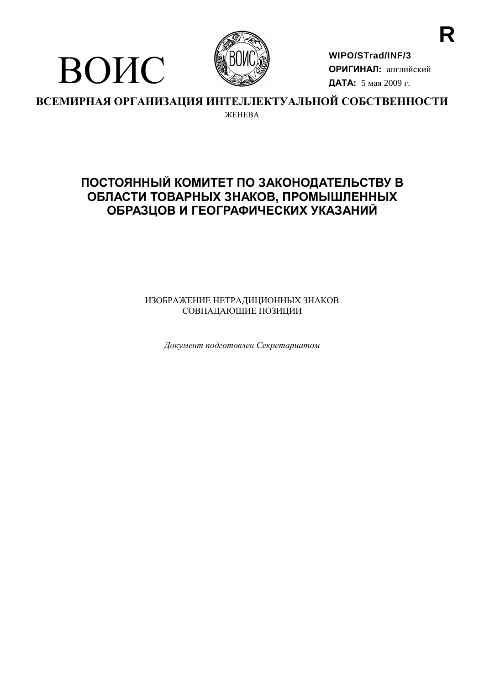

ВОИС

**WIPO/STrad/INF/3 ОРИГИНАЛ:** английский ДАТА: 5 мая 2009 г.

ВСЕМИРНАЯ ОРГАНИЗАЦИЯ ИНТЕЛЛЕКТУАЛЬНОЙ СОБСТВЕННОСТИ **WEHERA** 

# ПОСТОЯННЫЙ КОМИТЕТ ПО ЗАКОНОДАТЕЛЬСТВУ В ОБЛАСТИ ТОВАРНЫХ ЗНАКОВ, ПРОМЫШЛЕННЫХ ОБРАЗЦОВ И ГЕОГРАФИЧЕСКИХ УКАЗАНИЙ

ИЗОБРАЖЕНИЕ НЕТРАДИЦИОННЫХ ЗНАКОВ СОВПАДАЮЩИЕ ПОЗИЦИИ

 $\Box$ окумент подготовлен Секретариатом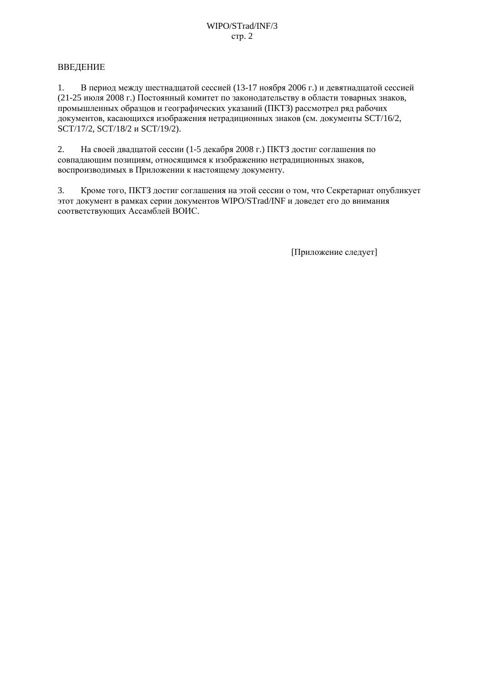## ВВЕДЕНИЕ

В период между шестнадцатой сессией (13-17 ноября 2006 г.) и девятнадцатой сессией  $1.$ (21-25 июля 2008 г.) Постоянный комитет по законолательству в области товарных знаков. промышленных образцов и географических указаний (ПКТЗ) рассмотрел ряд рабочих документов, касающихся изображения нетрадиционных знаков (см. документы SCT/16/2, SCT/17/2, SCT/18/2 и SCT/19/2).

На своей двадцатой сессии (1-5 декабря 2008 г.) ПКТЗ достиг соглашения по 2. совпадающим позициям, относящимся к изображению нетрадиционных знаков, воспроизводимых в Приложении к настоящему документу.

Кроме того, ПКТЗ достиг соглашения на этой сессии о том, что Секретариат опубликует 3. этот документ в рамках серии документов WIPO/STrad/INF и доведет его до внимания соответствующих Ассамблей ВОИС.

[Приложение следует]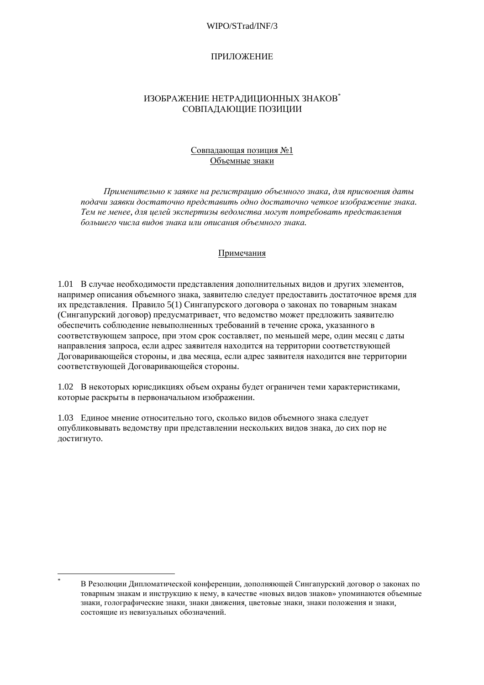#### WIPO/STrad/INF/3

#### ПРИЛОЖЕНИЕ

#### ИЗОБРАЖЕНИЕ НЕТРАДИЦИОННЫХ ЗНАКОВ\* СОВПАДАЮЩИЕ ПОЗИЦИИ

## Совпадающая позиция №1 Объемные знаки

Применительно к заявке на регистрацию объемного знака, для присвоения даты подачи заявки достаточно представить одно достаточно четкое изображение знака. Тем не менее, для иелей экспертизы ведомства могут потребовать представления большего числа видов знака или описания объемного знака.

#### Примечания

1.01 В случае необходимости представления дополнительных видов и других элементов, например описания объемного знака, заявителю следует предоставить достаточное время для их представления. Правило 5(1) Сингапурского договора о законах по товарным знакам (Сингапурский договор) предусматривает, что ведомство может предложить заявителю обеспечить соблюдение невыполненных требований в течение срока, указанного в соответствующем запросе, при этом срок составляет, по меньшей мере, один месяц с даты направления запроса, если адрес заявителя находится на территории соответствующей Договаривающейся стороны, и два месяца, если адрес заявителя находится вне территории соответствующей Договаривающейся стороны.

1.02 В некоторых юрисдикциях объем охраны будет ограничен теми характеристиками, которые раскрыты в первоначальном изображении.

1.03 Единое мнение относительно того, сколько видов объемного знака следует опубликовывать ведомству при представлении нескольких видов знака, до сих пор не достигнуто.

В Резолюции Дипломатической конференции, дополняющей Сингапурский договор о законах по товарным знакам и инструкцию к нему, в качестве «новых видов знаков» упоминаются объемные знаки, голографические знаки, знаки движения, цветовые знаки, знаки положения и знаки, состоящие из невизуальных обозначений.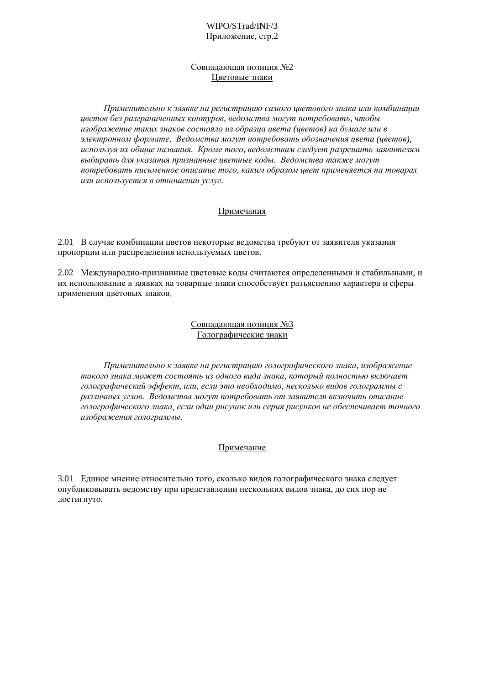#### Совпадающая позиция №2 Цветовые знаки

Применительно к заявке на регистрацию самого цветового знака или комбинации иветов без разграниченных контуров, ведомства могут потребовать, чтобы изображение таких знаков состояло из образца цвета (цветов) на бумаге или в электронном формате. Ведомства могут потребовать обозначения ивета (иветов), используя их общие названия. Кроме того, ведомствам следует разрешить заявителям выбирать для указания признанные цветные коды. Ведомства также могут потребовать письменное описание того, каким образом цвет применяется на товарах или используется в отношении услуг.

## Примечания

2.01 В случае комбинации цветов некоторые ведомства требуют от заявителя указания пропорции или распределения используемых цветов.

2.02 Международно-признанные цветовые коды считаются определенными и стабильными, и их использование в заявках на товарные знаки способствует разъяснению характера и сферы применения цветовых знаков.

## Совпадающая позиция №3 Голографические знаки

Применительно к заявке на регистрацию голографического знака, изображение такого знака может состоять из одного вида знака, который полностью включает голографический эффект, или, если это необходимо, несколько видов голограммы с различных углов. Ведомства могут потребовать от заявителя включить описание голографического знака, если один рисунок или серия рисунков не обеспечивает точного изображения голограммы.

# Примечание

3.01 Единое мнение относительно того, сколько видов голографического знака следует опубликовывать ведомству при представлении нескольких видов знака, до сих пор не достигнуто.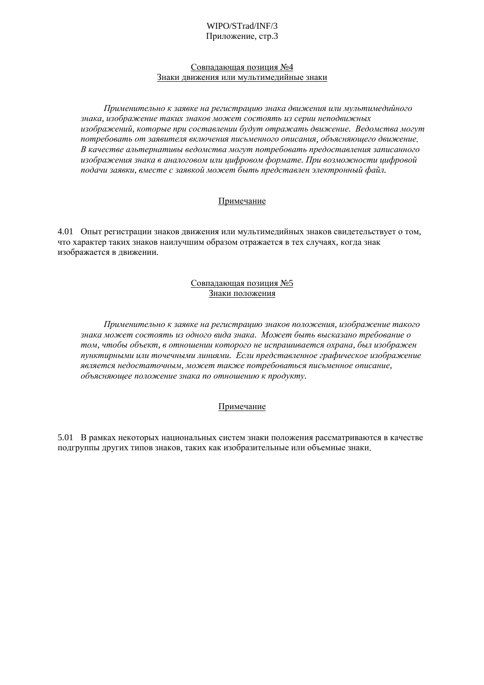#### WIPO/STrad/INF/3 Приложение, стр.3

#### Совпадающая позиция №4 Знаки движения или мультимедийные знаки

Применительно к заявке на регистрацию знака движения или мультимедийного знака, изображение таких знаков может состоять из серии неподвижных изображений, которые при составлении будут отражать движение. Ведомства могут потребовать от заявителя включения письменного описания, объясняющего движение. В качестве альтернативы ведомства могут потребовать предоставления записанного изображения знака в аналоговом или цифровом формате. При возможности цифровой подачи заявки, вместе с заявкой может быть представлен электронный файл.

## Примечание

4.01 Опыт регистрации знаков движения или мультимедийных знаков свидетельствует о том, что характер таких знаков наилучшим образом отражается в тех случаях, когда знак изображается в движении.

## Совпадающая позиция №5 Знаки положения

Применительно к заявке на регистрацию знаков положения, изображение такого знака может состоять из одного вида знака. Может быть высказано требование о том, чтобы объект, в отношении которого не испрашивается охрана, был изображен пунктирными или точечными линиями. Если представленное графическое изображение является недостаточным, может также потребоваться письменное описание, объясняющее положение знака по отношению к продукту.

# Примечание

5.01 В рамках некоторых национальных систем знаки положения рассматриваются в качестве подгруппы других типов знаков, таких как изобразительные или объемные знаки.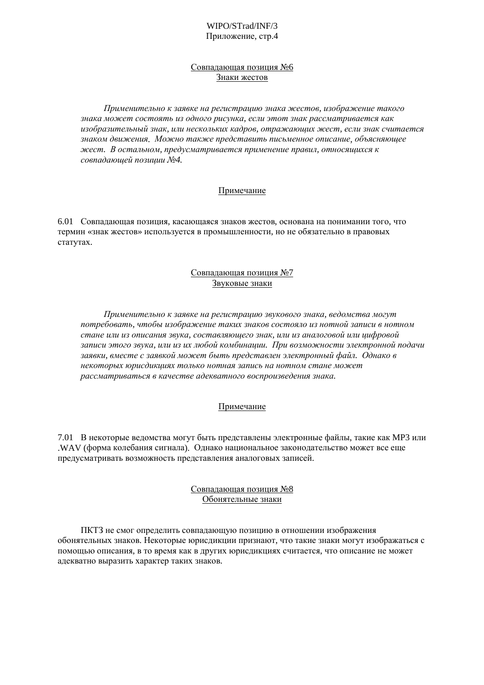#### WIPO/STrad/INF/3 Приложение, стр.4

#### Совпадающая позиция №6 Знаки жестов

Применительно к заявке на регистрацию знака жестов, изображение такого знака может состоять из одного рисунка, если этот знак рассматривается как изобразительный знак, или нескольких кадров, отражающих жест, если знак считается знаком движения. Можно также представить письменное описание, объясняющее жест. В остальном, предусматривается применение правил, относящихся к совпадающей позиции №4.

## Примечание

6.01 Совпадающая позиция, касающаяся знаков жестов, основана на понимании того, что термин «знак жестов» используется в промышленности, но не обязательно в правовых статутах.

## Совпадающая позиция №7 Звуковые знаки

Применительно к заявке на регистрацию звукового знака, ведомства могут потребовать, чтобы изображение таких знаков состояло из нотной записи в нотном стане или из описания звука, составляющего знак, или из аналоговой или иифровой записи этого звука, или из их любой комбинации. При возможности электронной подачи заявки, вместе с заявкой может быть представлен электронный файл. Однако в некоторых юрисдикциях только нотная запись на нотном стане может рассматриваться в качестве адекватного воспроизведения знака.

# Примечание

7.01 В некоторые ведомства могут быть представлены электронные файлы, такие как МРЗ или .WAV (форма колебания сигнала). Однако национальное законодательство может все еще предусматривать возможность представления аналоговых записей.

#### Совпадающая позиция №8 Обонятельные знаки

ПКТЗ не смог определить совпадающую позицию в отношении изображения обонятельных знаков. Некоторые юрисдикции признают, что такие знаки могут изображаться с помощью описания, в то время как в других юрисдикциях считается, что описание не может адекватно выразить характер таких знаков.